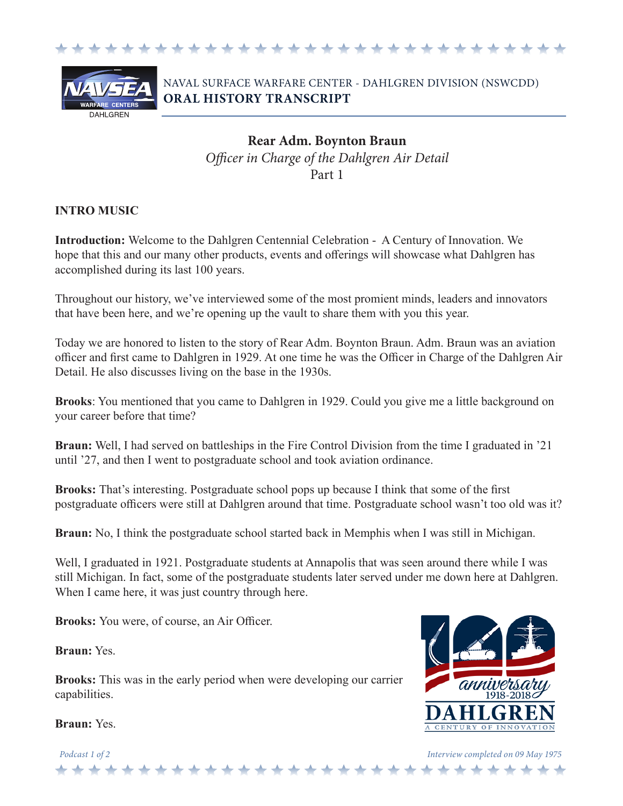



# NAVAL SURFACE WARFARE CENTER - DAHLGREN DIVISION (NSWCDD) **ORAL HISTORY TRANSCRIPT**

# **Rear Adm. Boynton Braun** *Officer in Charge of the Dahlgren Air Detail* Part 1

#### **INTRO MUSIC**

**Introduction:** Welcome to the Dahlgren Centennial Celebration - A Century of Innovation. We hope that this and our many other products, events and offerings will showcase what Dahlgren has accomplished during its last 100 years.

Throughout our history, we've interviewed some of the most promient minds, leaders and innovators that have been here, and we're opening up the vault to share them with you this year.

Today we are honored to listen to the story of Rear Adm. Boynton Braun. Adm. Braun was an aviation officer and first came to Dahlgren in 1929. At one time he was the Officer in Charge of the Dahlgren Air Detail. He also discusses living on the base in the 1930s.

**Brooks**: You mentioned that you came to Dahlgren in 1929. Could you give me a little background on your career before that time?

**Braun:** Well, I had served on battleships in the Fire Control Division from the time I graduated in '21 until '27, and then I went to postgraduate school and took aviation ordinance.

**Brooks:** That's interesting. Postgraduate school pops up because I think that some of the first postgraduate officers were still at Dahlgren around that time. Postgraduate school wasn't too old was it?

**Braun:** No, I think the postgraduate school started back in Memphis when I was still in Michigan.

Well, I graduated in 1921. Postgraduate students at Annapolis that was seen around there while I was still Michigan. In fact, some of the postgraduate students later served under me down here at Dahlgren. When I came here, it was just country through here.

**Brooks:** You were, of course, an Air Officer.

**Braun:** Yes.

**Brooks:** This was in the early period when were developing our carrier capabilities.

+ + + + + + +

**Braun:** Yes.

annwersaru **CENTURY OF INNOVATION** 

*Podcast 1 of 2 Interview completed on 09 May 1975*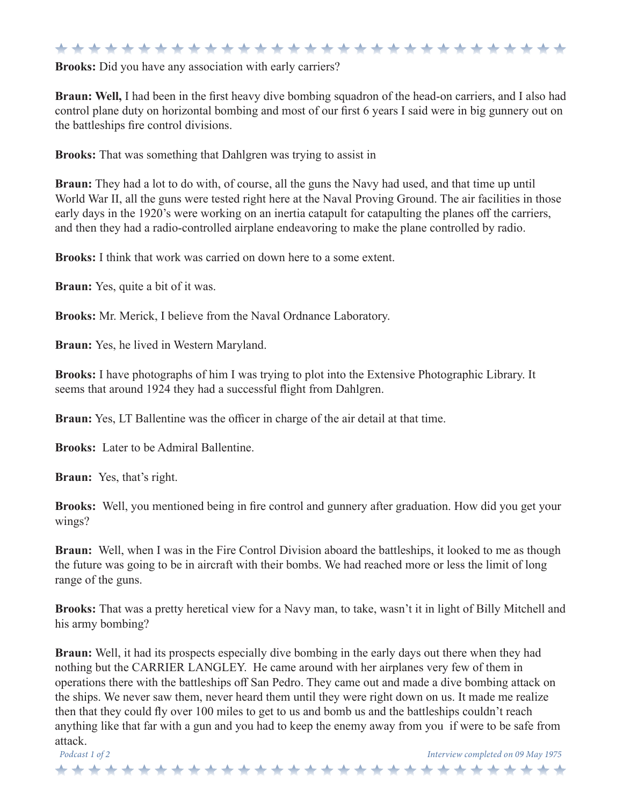#### \*\*\*\*\*\*\*\*\*\*\*\*\*\*\*\*\*\*\*\*\*\*\*\*\*\*\*\*\*\*

**Brooks:** Did you have any association with early carriers?

**Braun: Well,** I had been in the first heavy dive bombing squadron of the head-on carriers, and I also had control plane duty on horizontal bombing and most of our first 6 years I said were in big gunnery out on the battleships fire control divisions.

**Brooks:** That was something that Dahlgren was trying to assist in

**Braun:** They had a lot to do with, of course, all the guns the Navy had used, and that time up until World War II, all the guns were tested right here at the Naval Proving Ground. The air facilities in those early days in the 1920's were working on an inertia catapult for catapulting the planes off the carriers, and then they had a radio-controlled airplane endeavoring to make the plane controlled by radio.

**Brooks:** I think that work was carried on down here to a some extent.

**Braun:** Yes, quite a bit of it was.

**Brooks:** Mr. Merick, I believe from the Naval Ordnance Laboratory.

**Braun:** Yes, he lived in Western Maryland.

**Brooks:** I have photographs of him I was trying to plot into the Extensive Photographic Library. It seems that around 1924 they had a successful flight from Dahlgren.

**Braun:** Yes, LT Ballentine was the officer in charge of the air detail at that time.

**Brooks:** Later to be Admiral Ballentine.

**Braun:** Yes, that's right.

**Brooks:** Well, you mentioned being in fire control and gunnery after graduation. How did you get your wings?

**Braun:** Well, when I was in the Fire Control Division aboard the battleships, it looked to me as though the future was going to be in aircraft with their bombs. We had reached more or less the limit of long range of the guns.

**Brooks:** That was a pretty heretical view for a Navy man, to take, wasn't it in light of Billy Mitchell and his army bombing?

**Braun:** Well, it had its prospects especially dive bombing in the early days out there when they had nothing but the CARRIER LANGLEY. He came around with her airplanes very few of them in operations there with the battleships off San Pedro. They came out and made a dive bombing attack on the ships. We never saw them, never heard them until they were right down on us. It made me realize then that they could fly over 100 miles to get to us and bomb us and the battleships couldn't reach anything like that far with a gun and you had to keep the enemy away from you if were to be safe from attack.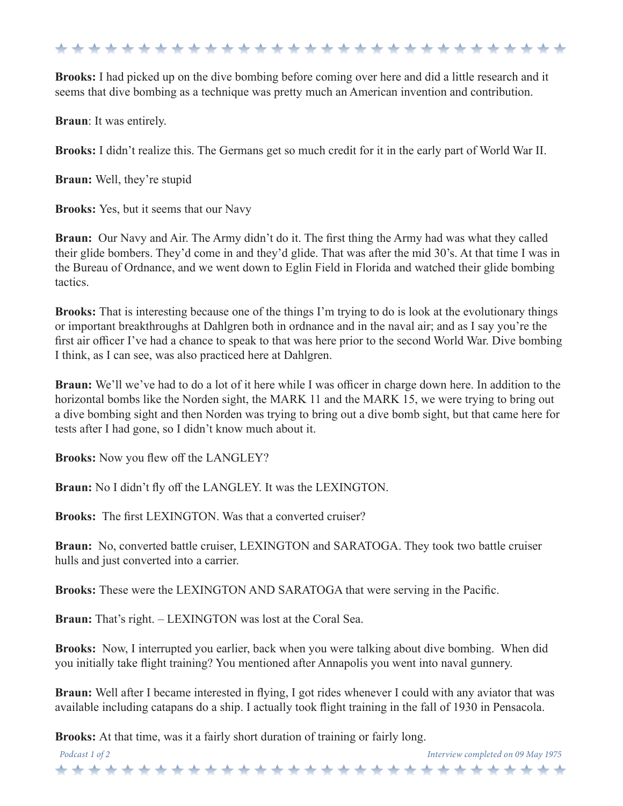\*\*\*\*\*\*\*\*\*\*\*\*\*\*\*\*\*\*\*\*\*\*\*\*\*\*\*\*\*\*\*

**Brooks:** I had picked up on the dive bombing before coming over here and did a little research and it seems that dive bombing as a technique was pretty much an American invention and contribution.

**Braun**: It was entirely.

**Brooks:** I didn't realize this. The Germans get so much credit for it in the early part of World War II.

**Braun:** Well, they're stupid

**Brooks:** Yes, but it seems that our Navy

**Braun:** Our Navy and Air. The Army didn't do it. The first thing the Army had was what they called their glide bombers. They'd come in and they'd glide. That was after the mid 30's. At that time I was in the Bureau of Ordnance, and we went down to Eglin Field in Florida and watched their glide bombing tactics.

**Brooks:** That is interesting because one of the things I'm trying to do is look at the evolutionary things or important breakthroughs at Dahlgren both in ordnance and in the naval air; and as I say you're the first air officer I've had a chance to speak to that was here prior to the second World War. Dive bombing I think, as I can see, was also practiced here at Dahlgren.

**Braun:** We'll we've had to do a lot of it here while I was officer in charge down here. In addition to the horizontal bombs like the Norden sight, the MARK 11 and the MARK 15, we were trying to bring out a dive bombing sight and then Norden was trying to bring out a dive bomb sight, but that came here for tests after I had gone, so I didn't know much about it.

**Brooks:** Now you flew off the LANGLEY?

**Braun:** No I didn't fly off the LANGLEY. It was the LEXINGTON.

**Brooks:** The first LEXINGTON. Was that a converted cruiser?

**Braun:** No, converted battle cruiser, LEXINGTON and SARATOGA. They took two battle cruiser hulls and just converted into a carrier.

**Brooks:** These were the LEXINGTON AND SARATOGA that were serving in the Pacific.

**Braun:** That's right. – LEXINGTON was lost at the Coral Sea.

**Brooks:** Now, I interrupted you earlier, back when you were talking about dive bombing. When did you initially take flight training? You mentioned after Annapolis you went into naval gunnery.

**Braun:** Well after I became interested in flying, I got rides whenever I could with any aviator that was available including catapans do a ship. I actually took flight training in the fall of 1930 in Pensacola.

*Podcast 1 of 2 Interview completed on 09 May 1975*

والواقع المواقع والواقع والواقع والواقع والواقع والواقع والواقع والواقع والواقع والواقع والواقع والواقع والواقع والواقع

**Brooks:** At that time, was it a fairly short duration of training or fairly long.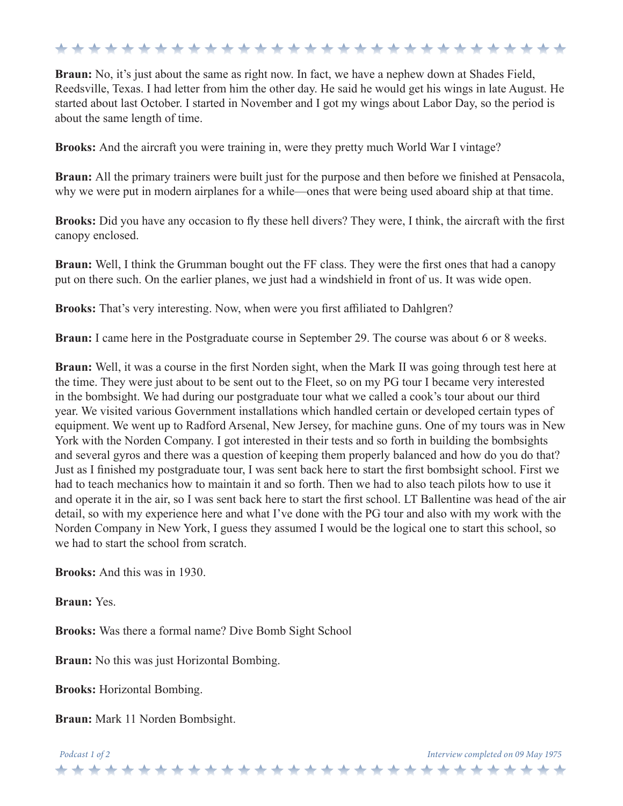### \*\*\*\*\*\*\*\*\*\*\*\*\*\*\*\*\*\*\*\*\*\*\*\*\*\*\*\*\*\*

**Braun:** No, it's just about the same as right now. In fact, we have a nephew down at Shades Field, Reedsville, Texas. I had letter from him the other day. He said he would get his wings in late August. He started about last October. I started in November and I got my wings about Labor Day, so the period is about the same length of time.

**Brooks:** And the aircraft you were training in, were they pretty much World War I vintage?

**Braun:** All the primary trainers were built just for the purpose and then before we finished at Pensacola, why we were put in modern airplanes for a while—ones that were being used aboard ship at that time.

**Brooks:** Did you have any occasion to fly these hell divers? They were, I think, the aircraft with the first canopy enclosed.

**Braun:** Well, I think the Grumman bought out the FF class. They were the first ones that had a canopy put on there such. On the earlier planes, we just had a windshield in front of us. It was wide open.

**Brooks:** That's very interesting. Now, when were you first affiliated to Dahlgren?

**Braun:** I came here in the Postgraduate course in September 29. The course was about 6 or 8 weeks.

**Braun:** Well, it was a course in the first Norden sight, when the Mark II was going through test here at the time. They were just about to be sent out to the Fleet, so on my PG tour I became very interested in the bombsight. We had during our postgraduate tour what we called a cook's tour about our third year. We visited various Government installations which handled certain or developed certain types of equipment. We went up to Radford Arsenal, New Jersey, for machine guns. One of my tours was in New York with the Norden Company. I got interested in their tests and so forth in building the bombsights and several gyros and there was a question of keeping them properly balanced and how do you do that? Just as I finished my postgraduate tour, I was sent back here to start the first bombsight school. First we had to teach mechanics how to maintain it and so forth. Then we had to also teach pilots how to use it and operate it in the air, so I was sent back here to start the first school. LT Ballentine was head of the air detail, so with my experience here and what I've done with the PG tour and also with my work with the Norden Company in New York, I guess they assumed I would be the logical one to start this school, so we had to start the school from scratch.

**Brooks:** And this was in 1930.

**Braun:** Yes.

**Brooks:** Was there a formal name? Dive Bomb Sight School

**Braun:** No this was just Horizontal Bombing.

**Brooks:** Horizontal Bombing.

**Braun:** Mark 11 Norden Bombsight.

*Podcast 1 of 2 Interview completed on 09 May 1975* \*\*\*\*\*\*\*\*\*\*\*\*\*\*\*\*\*\*\*\*\*\*\*\*\*\*\*\*\*\*\*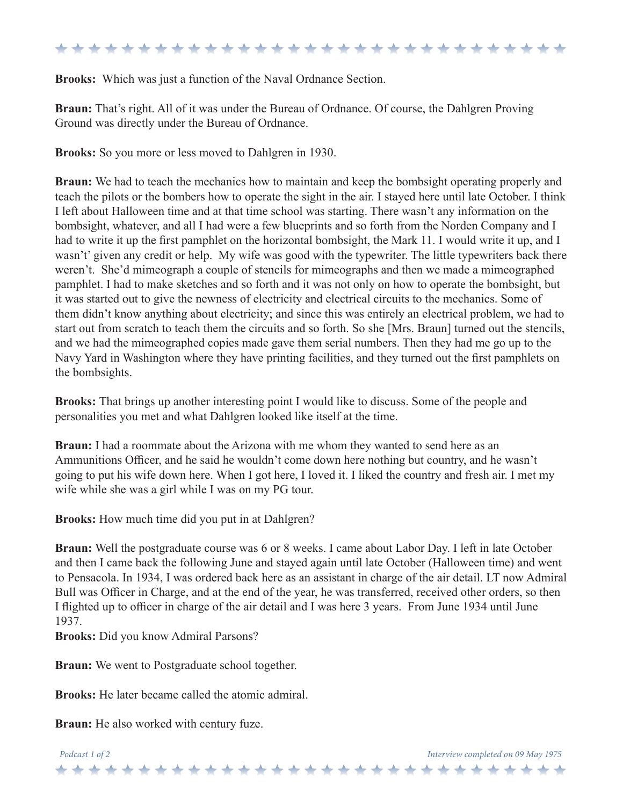### \*\*\*\*\*\*\*\*\*\*\*\*\*\*\*\*\*\*\*\*\*\*\*\*\*\*\*\*\*\*\*

**Brooks:** Which was just a function of the Naval Ordnance Section.

**Braun:** That's right. All of it was under the Bureau of Ordnance. Of course, the Dahlgren Proving Ground was directly under the Bureau of Ordnance.

**Brooks:** So you more or less moved to Dahlgren in 1930.

**Braun:** We had to teach the mechanics how to maintain and keep the bombsight operating properly and teach the pilots or the bombers how to operate the sight in the air. I stayed here until late October. I think I left about Halloween time and at that time school was starting. There wasn't any information on the bombsight, whatever, and all I had were a few blueprints and so forth from the Norden Company and I had to write it up the first pamphlet on the horizontal bombsight, the Mark 11. I would write it up, and I wasn't' given any credit or help. My wife was good with the typewriter. The little typewriters back there weren't. She'd mimeograph a couple of stencils for mimeographs and then we made a mimeographed pamphlet. I had to make sketches and so forth and it was not only on how to operate the bombsight, but it was started out to give the newness of electricity and electrical circuits to the mechanics. Some of them didn't know anything about electricity; and since this was entirely an electrical problem, we had to start out from scratch to teach them the circuits and so forth. So she [Mrs. Braun] turned out the stencils, and we had the mimeographed copies made gave them serial numbers. Then they had me go up to the Navy Yard in Washington where they have printing facilities, and they turned out the first pamphlets on the bombsights.

**Brooks:** That brings up another interesting point I would like to discuss. Some of the people and personalities you met and what Dahlgren looked like itself at the time.

**Braun:** I had a roommate about the Arizona with me whom they wanted to send here as an Ammunitions Officer, and he said he wouldn't come down here nothing but country, and he wasn't going to put his wife down here. When I got here, I loved it. I liked the country and fresh air. I met my wife while she was a girl while I was on my PG tour.

**Brooks:** How much time did you put in at Dahlgren?

**Braun:** Well the postgraduate course was 6 or 8 weeks. I came about Labor Day. I left in late October and then I came back the following June and stayed again until late October (Halloween time) and went to Pensacola. In 1934, I was ordered back here as an assistant in charge of the air detail. LT now Admiral Bull was Officer in Charge, and at the end of the year, he was transferred, received other orders, so then I flighted up to officer in charge of the air detail and I was here 3 years. From June 1934 until June 1937.

**Brooks:** Did you know Admiral Parsons?

**Braun:** We went to Postgraduate school together.

**Brooks:** He later became called the atomic admiral.

**Braun:** He also worked with century fuze.

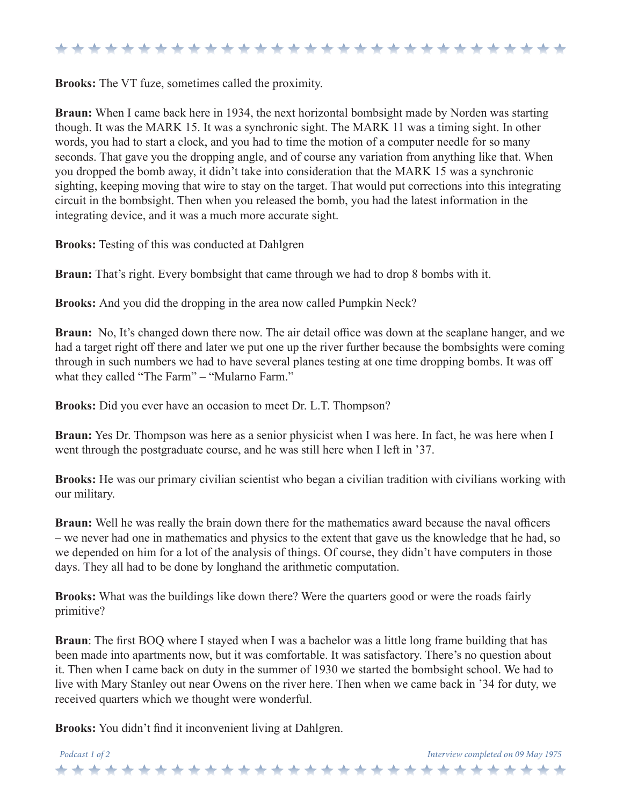### \*\*\*\*\*\*\*\*\*\*\*\*\*\*\*\*\*\*\*\*\*\*\*\*\*\*\*\*\*\*\*\*

**Brooks:** The VT fuze, sometimes called the proximity.

**Braun:** When I came back here in 1934, the next horizontal bombsight made by Norden was starting though. It was the MARK 15. It was a synchronic sight. The MARK 11 was a timing sight. In other words, you had to start a clock, and you had to time the motion of a computer needle for so many seconds. That gave you the dropping angle, and of course any variation from anything like that. When you dropped the bomb away, it didn't take into consideration that the MARK 15 was a synchronic sighting, keeping moving that wire to stay on the target. That would put corrections into this integrating circuit in the bombsight. Then when you released the bomb, you had the latest information in the integrating device, and it was a much more accurate sight.

**Brooks:** Testing of this was conducted at Dahlgren

**Braun:** That's right. Every bombsight that came through we had to drop 8 bombs with it.

**Brooks:** And you did the dropping in the area now called Pumpkin Neck?

**Braun:** No, It's changed down there now. The air detail office was down at the seaplane hanger, and we had a target right off there and later we put one up the river further because the bombsights were coming through in such numbers we had to have several planes testing at one time dropping bombs. It was off what they called "The Farm" – "Mularno Farm."

**Brooks:** Did you ever have an occasion to meet Dr. L.T. Thompson?

**Braun:** Yes Dr. Thompson was here as a senior physicist when I was here. In fact, he was here when I went through the postgraduate course, and he was still here when I left in '37.

**Brooks:** He was our primary civilian scientist who began a civilian tradition with civilians working with our military.

**Braun:** Well he was really the brain down there for the mathematics award because the naval officers – we never had one in mathematics and physics to the extent that gave us the knowledge that he had, so we depended on him for a lot of the analysis of things. Of course, they didn't have computers in those days. They all had to be done by longhand the arithmetic computation.

**Brooks:** What was the buildings like down there? Were the quarters good or were the roads fairly primitive?

**Braun**: The first BOQ where I stayed when I was a bachelor was a little long frame building that has been made into apartments now, but it was comfortable. It was satisfactory. There's no question about it. Then when I came back on duty in the summer of 1930 we started the bombsight school. We had to live with Mary Stanley out near Owens on the river here. Then when we came back in '34 for duty, we received quarters which we thought were wonderful.

**Brooks:** You didn't find it inconvenient living at Dahlgren.

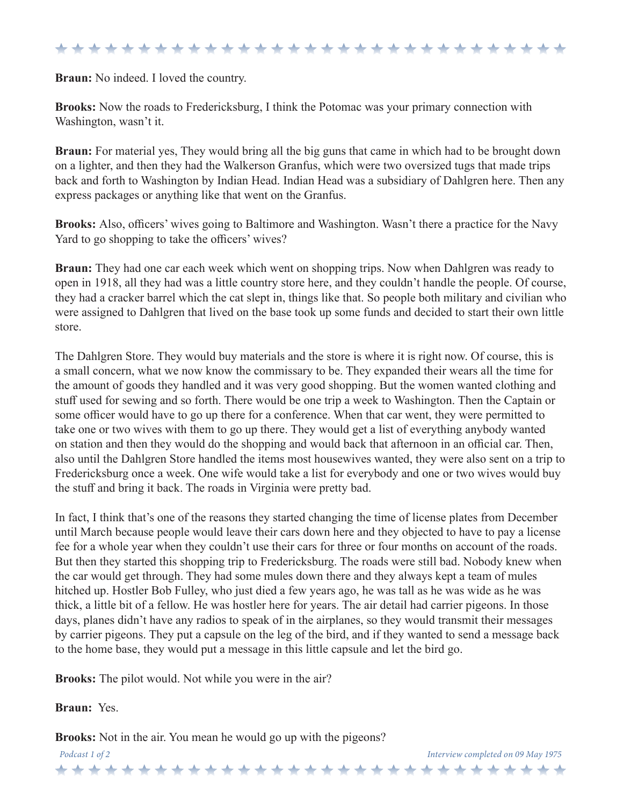#### \*\*\*\*\*\*\*\*\*\*\*\*\*\*\*\*\*\*\*\*\*\*\*\*\*\*\*\*\*\*\*

**Braun:** No indeed. I loved the country.

**Brooks:** Now the roads to Fredericksburg, I think the Potomac was your primary connection with Washington, wasn't it.

**Braun:** For material yes, They would bring all the big guns that came in which had to be brought down on a lighter, and then they had the Walkerson Granfus, which were two oversized tugs that made trips back and forth to Washington by Indian Head. Indian Head was a subsidiary of Dahlgren here. Then any express packages or anything like that went on the Granfus.

**Brooks:** Also, officers' wives going to Baltimore and Washington. Wasn't there a practice for the Navy Yard to go shopping to take the officers' wives?

**Braun:** They had one car each week which went on shopping trips. Now when Dahlgren was ready to open in 1918, all they had was a little country store here, and they couldn't handle the people. Of course, they had a cracker barrel which the cat slept in, things like that. So people both military and civilian who were assigned to Dahlgren that lived on the base took up some funds and decided to start their own little store.

The Dahlgren Store. They would buy materials and the store is where it is right now. Of course, this is a small concern, what we now know the commissary to be. They expanded their wears all the time for the amount of goods they handled and it was very good shopping. But the women wanted clothing and stuff used for sewing and so forth. There would be one trip a week to Washington. Then the Captain or some officer would have to go up there for a conference. When that car went, they were permitted to take one or two wives with them to go up there. They would get a list of everything anybody wanted on station and then they would do the shopping and would back that afternoon in an official car. Then, also until the Dahlgren Store handled the items most housewives wanted, they were also sent on a trip to Fredericksburg once a week. One wife would take a list for everybody and one or two wives would buy the stuff and bring it back. The roads in Virginia were pretty bad.

In fact, I think that's one of the reasons they started changing the time of license plates from December until March because people would leave their cars down here and they objected to have to pay a license fee for a whole year when they couldn't use their cars for three or four months on account of the roads. But then they started this shopping trip to Fredericksburg. The roads were still bad. Nobody knew when the car would get through. They had some mules down there and they always kept a team of mules hitched up. Hostler Bob Fulley, who just died a few years ago, he was tall as he was wide as he was thick, a little bit of a fellow. He was hostler here for years. The air detail had carrier pigeons. In those days, planes didn't have any radios to speak of in the airplanes, so they would transmit their messages by carrier pigeons. They put a capsule on the leg of the bird, and if they wanted to send a message back to the home base, they would put a message in this little capsule and let the bird go.

**Brooks:** The pilot would. Not while you were in the air?

**Braun:** Yes.

**Brooks:** Not in the air. You mean he would go up with the pigeons?